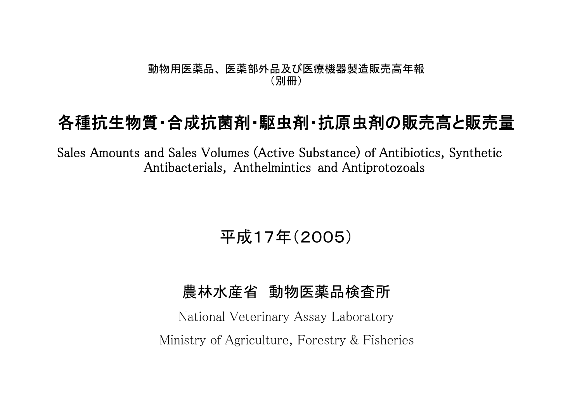## 動物用医薬品、 医薬部外品及び医療機器製造販売高年報 (別冊)

## 各種抗生物質・合成抗菌剤・駆虫剤・抗原虫剤の販売高と販売量

Sales Amounts and Sales Volumes (Active Substance) of Antibiotics, Synthetic Antibacterials, Anthelmintics and Antiprotozoals

平成17年(2005)

## 農林水産省 動物医薬品検査所

National Veterinary Assay Laboratory Ministry of Agriculture, Forestry & Fisheries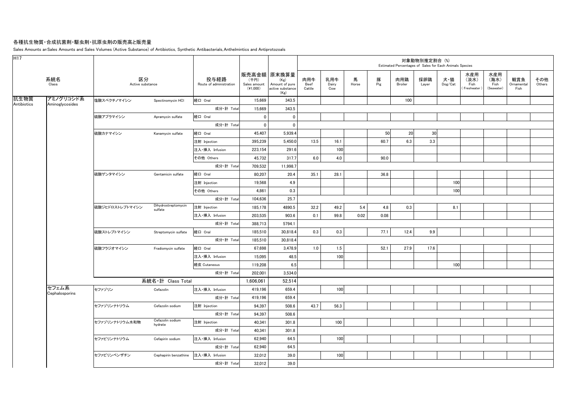## 各種抗生物質・合成抗菌剤・駆虫剤・抗原虫剤の販売高と販売量

Sales Amounts anSales Amounts and Sales Volumes (Active Substance) of Antibiotics, Synthetic Antibacterials, Anthelmintics and Antiprotozoals

| H17         |                         |                        |                                |                                 |                                    |                                                                   |                       |                     |            |          | Estimated Percentages of Sales for Each Animals Species | 対象動物別推定割合 (%) |                |                                   |                                   |                           |               |
|-------------|-------------------------|------------------------|--------------------------------|---------------------------------|------------------------------------|-------------------------------------------------------------------|-----------------------|---------------------|------------|----------|---------------------------------------------------------|---------------|----------------|-----------------------------------|-----------------------------------|---------------------------|---------------|
|             | 系統名<br>Class            | 区分<br>Active substance |                                | 投与経路<br>Route of administration | (千円)<br>Sales amount<br>$(*1,000)$ | 販売高金額 原末換算量<br>(Kg)<br>Amount of pure<br>active substance<br>(Kg) | 肉用牛<br>Beef<br>Cattle | 乳用牛<br>Dairy<br>Cow | 馬<br>Horse | 豚<br>Pig | 肉用鶏<br>Broiler                                          | 採卵鶏<br>Layer  | 犬・猫<br>Dog/Cat | 水産用<br>(淡水)<br>Fish<br>Freshwater | 水産用<br>(海水)<br>Fish<br>(Seawater) | 観賞魚<br>Ornamental<br>Fish | その他<br>Others |
| 抗生物質        | アミノグリコシド系               | 塩酸スペクチノマイシン            | Spectinomycin HCI              | 経口 Oral                         | 15,669                             | 343.5                                                             |                       |                     |            |          | 100                                                     |               |                |                                   |                                   |                           |               |
| Antibiotics | Aminoglycosides         |                        |                                | 成分·計 Total                      | 15.669                             | 343.5                                                             |                       |                     |            |          |                                                         |               |                |                                   |                                   |                           |               |
|             |                         | 硫酸アプラマイシン              | Apramycin sulfate              | 経口 Oral                         | $\mathbf{0}$                       | $\mathbf 0$                                                       |                       |                     |            |          |                                                         |               |                |                                   |                                   |                           |               |
|             |                         |                        |                                | 成分·計 Total                      | $\pmb{0}$                          | $\mathbf 0$                                                       |                       |                     |            |          |                                                         |               |                |                                   |                                   |                           |               |
|             |                         | 硫酸カナマイシン               | Kanamycin sulfate              | 経口 Oral                         | 45,407                             | 5,939.4                                                           |                       |                     |            | 50       | 20                                                      | 30            |                |                                   |                                   |                           |               |
|             |                         |                        |                                | 注射 Injection                    | 395,239                            | 5,450.0                                                           | 13.5                  | 16.1                |            | 60.7     | 6.3                                                     | 3.3           |                |                                   |                                   |                           |               |
|             |                         |                        |                                | 注入·挿入 Infusion                  | 223,154                            | 291.6                                                             |                       | 100                 |            |          |                                                         |               |                |                                   |                                   |                           |               |
|             |                         |                        |                                | その他 Others                      | 45,732                             | 317.7                                                             | 6.0                   | 4.0                 |            | 90.0     |                                                         |               |                |                                   |                                   |                           |               |
|             |                         |                        |                                | 成分·計 Total                      | 709,532                            | 11,998.7                                                          |                       |                     |            |          |                                                         |               |                |                                   |                                   |                           |               |
|             |                         | 硫酸ゲンタマイシン              | Gentamicin sulfate             | 経口 Oral                         | 80,207                             | 20.4                                                              | 35.1                  | 28.1                |            | 36.8     |                                                         |               |                |                                   |                                   |                           |               |
|             |                         |                        |                                | 注射 Injection                    | 19,568                             | 4.9                                                               |                       |                     |            |          |                                                         |               | 100            |                                   |                                   |                           |               |
|             |                         |                        |                                | その他 Others                      | 4,861                              | 0.3                                                               |                       |                     |            |          |                                                         |               | 100            |                                   |                                   |                           |               |
|             |                         |                        |                                | 成分·計 Total                      | 104,636                            | 25.7                                                              |                       |                     |            |          |                                                         |               |                |                                   |                                   |                           |               |
|             |                         | 硫酸ジヒドロストレプトマイシン        | Dihydrostreptomycin<br>sulfate | 注射 Injection                    | 185,178                            | 4890.5                                                            | 32.2                  | 49.2                | 5.4        | 4.8      | 0.3                                                     |               | 8.1            |                                   |                                   |                           |               |
|             |                         |                        |                                | 注入·挿入 Infusion                  | 203,535                            | 903.6                                                             | 0.1                   | 99.8                | 0.02       | 0.08     |                                                         |               |                |                                   |                                   |                           |               |
|             |                         |                        |                                | 成分·計 Total                      | 388,713                            | 5794.1                                                            |                       |                     |            |          |                                                         |               |                |                                   |                                   |                           |               |
|             |                         | 硫酸ストレプトマイシン            | Streptomycin sulfate           | 経口 Oral                         | 185,510                            | 30,818.4                                                          | 0.3                   | 0.3                 |            | 77.1     | 12.4                                                    | 9.9           |                |                                   |                                   |                           |               |
|             |                         |                        |                                | 成分·計 Total                      | 185,510                            | 30,818.4                                                          |                       |                     |            |          |                                                         |               |                |                                   |                                   |                           |               |
|             |                         | 硫酸フラジオマイシン             | Fradiomycin sulfate            | 経口 Oral                         | 67,698                             | 3,478.9                                                           | $1.0$                 | 1.5                 |            | 52.1     | 27.9                                                    | 17.6          |                |                                   |                                   |                           |               |
|             |                         |                        |                                | 注入·挿入 Infusion                  | 15,095                             | 48.5                                                              |                       | 100                 |            |          |                                                         |               |                |                                   |                                   |                           |               |
|             |                         |                        |                                | 経皮 Cutaneous                    | 119,208                            | 6.5                                                               |                       |                     |            |          |                                                         |               | 100            |                                   |                                   |                           |               |
|             |                         |                        |                                | 成分·計 Total                      | 202,001                            | 3,534.0                                                           |                       |                     |            |          |                                                         |               |                |                                   |                                   |                           |               |
|             |                         |                        | 系統名·計 Class Total              |                                 | 1,606,061                          | 52,514                                                            |                       |                     |            |          |                                                         |               |                |                                   |                                   |                           |               |
|             | セフェム系<br>Cephalosporins | セファゾリン                 | Cefazolin                      | 注入·挿入 Infusion                  | 419,196                            | 659.4                                                             |                       | 100                 |            |          |                                                         |               |                |                                   |                                   |                           |               |
|             |                         |                        |                                | 成分·計 Total                      | 419,196                            | 659.4                                                             |                       |                     |            |          |                                                         |               |                |                                   |                                   |                           |               |
|             |                         | セファゾリンナトリウム            | Cefazolin sodium               | 注射 Injection                    | 94,397                             | 508.6                                                             | 43.7                  | 56.3                |            |          |                                                         |               |                |                                   |                                   |                           |               |
|             |                         |                        |                                | 成分·計 Total                      | 94,397                             | 508.6                                                             |                       |                     |            |          |                                                         |               |                |                                   |                                   |                           |               |
|             |                         | セファゾリンナトリウム水和物         | Cefazolin sodium<br>hydrate    | 注射 Injection                    | 40,341                             | 301.8                                                             |                       | 100                 |            |          |                                                         |               |                |                                   |                                   |                           |               |
|             |                         |                        |                                | 成分·計 Total                      | 40,341                             | 301.8                                                             |                       |                     |            |          |                                                         |               |                |                                   |                                   |                           |               |
|             |                         | セファピリンナトリウム            | Cefapirin sodium               | 注入·挿入 Infusion                  | 62,940                             | 64.5                                                              |                       | 100                 |            |          |                                                         |               |                |                                   |                                   |                           |               |
|             |                         |                        |                                | 成分·計 Total                      | 62,940                             | 64.5                                                              |                       |                     |            |          |                                                         |               |                |                                   |                                   |                           |               |
|             |                         | セファピリンベンザチン            | Cephapirin benzathine          | 注入·挿入 Infusion                  | 32,012                             | 39.0                                                              |                       | 100                 |            |          |                                                         |               |                |                                   |                                   |                           |               |
|             |                         |                        |                                | 成分·計 Total                      | 32.012                             | 39.0                                                              |                       |                     |            |          |                                                         |               |                |                                   |                                   |                           |               |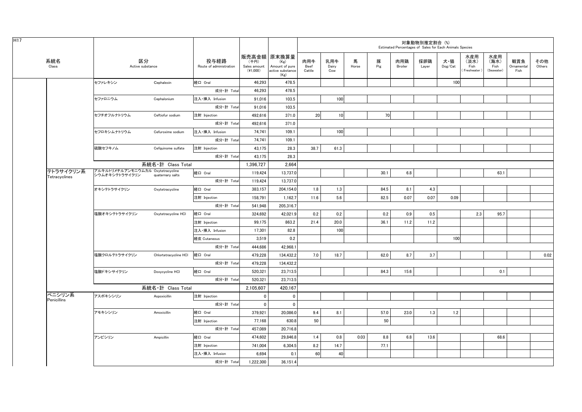| H <sub>17</sub> |                            |                                                     |                       |                                 |                                  |                                                                   |                       |                     |            |          | Estimated Percentages of Sales for Each Animals Species | 対象動物別推定割合 (%) |                                    |                                   |                                   |                           |               |
|-----------------|----------------------------|-----------------------------------------------------|-----------------------|---------------------------------|----------------------------------|-------------------------------------------------------------------|-----------------------|---------------------|------------|----------|---------------------------------------------------------|---------------|------------------------------------|-----------------------------------|-----------------------------------|---------------------------|---------------|
|                 | 系統名<br>Class               | 区分<br>Active substance                              |                       | 投与経路<br>Route of administration | (千円)<br>Sales amount<br>(41,000) | 販売高金額 原末換算量<br>(Kg)<br>Amount of pure<br>active substance<br>(Kg) | 肉用牛<br>Beef<br>Cattle | 乳用牛<br>Dairy<br>Cow | 馬<br>Horse | 豚<br>Pig | 肉用鶏<br>Broiler                                          | 採卵鶏<br>Layer  | 犬・猫<br>$\mathsf{Dog}/\mathsf{Cat}$ | 水産用<br>(淡水)<br>Fish<br>Freshwater | 水産用<br>(海水)<br>Fish<br>(Seawater) | 観賞魚<br>Ornamental<br>Fish | その他<br>Others |
|                 |                            | セファレキシン                                             | Cephalexin            | 経口 Oral                         | 46,293                           | 478.5                                                             |                       |                     |            |          |                                                         |               | 100                                |                                   |                                   |                           |               |
|                 |                            |                                                     |                       | 成分·計 Total                      | 46.293                           | 478.5                                                             |                       |                     |            |          |                                                         |               |                                    |                                   |                                   |                           |               |
|                 |                            | セファロニウム                                             | Cephalonium           | 注入·挿入 Infusion                  | 91,016                           | 103.5                                                             |                       | 100                 |            |          |                                                         |               |                                    |                                   |                                   |                           |               |
|                 |                            |                                                     |                       | 成分·計 Total                      | 91,016                           | 103.5                                                             |                       |                     |            |          |                                                         |               |                                    |                                   |                                   |                           |               |
|                 |                            | セフチオフルナトリウム                                         | Ceftiofur sodium      | 注射 Injection                    | 492,616                          | 371.0                                                             | 20                    | 10 <sup>1</sup>     |            | 70       |                                                         |               |                                    |                                   |                                   |                           |               |
|                 |                            |                                                     |                       | 成分·計 Total                      | 492,616                          | 371.0                                                             |                       |                     |            |          |                                                         |               |                                    |                                   |                                   |                           |               |
|                 |                            | セフロキシムナトリウム                                         | Cefuroxime sodium     | 注入·挿入 Infusion                  | 74,741                           | 109.1                                                             |                       | 100                 |            |          |                                                         |               |                                    |                                   |                                   |                           |               |
|                 |                            |                                                     |                       | 成分·計 Total                      | 74,741                           | 109.1                                                             |                       |                     |            |          |                                                         |               |                                    |                                   |                                   |                           |               |
|                 |                            | 硫酸セフキノム                                             | Cefquinome sulfate    | 注射 Injection                    | 43.175                           | 28.3                                                              | 38.7                  | 61.3                |            |          |                                                         |               |                                    |                                   |                                   |                           |               |
|                 |                            |                                                     |                       | 成分·計 Total                      | 43,175                           | 28.3                                                              |                       |                     |            |          |                                                         |               |                                    |                                   |                                   |                           |               |
|                 |                            |                                                     | 系統名·計 Class Total     |                                 | 1.396.727                        | 2.664                                                             |                       |                     |            |          |                                                         |               |                                    |                                   |                                   |                           |               |
|                 | テトラサイクリン系<br>Tetracyclines | アルキルトリメチルアンモニウムカル Oxytetracycline<br>シウムオキシテトラサイクリン | quaternary salts      | 経口 Oral                         | 119,424                          | 13,737.0                                                          |                       |                     |            | 30.1     | 6.8                                                     |               |                                    |                                   | 63.1                              |                           |               |
|                 |                            |                                                     |                       | 成分·計 Total                      | 119,424                          | 13,737.0                                                          |                       |                     |            |          |                                                         |               |                                    |                                   |                                   |                           |               |
|                 |                            | オキシテトラサイクリン                                         | Oxytetracycline       | 経口 Oral                         | 383.157                          | 204,154.0                                                         | 1.8                   | 1.3                 |            | 84.5     | 8.1                                                     | 4.3           |                                    |                                   |                                   |                           |               |
|                 |                            |                                                     |                       | 注射 Injection                    | 158,791                          | 1,162.7                                                           | 11.6                  | 5.6                 |            | 82.5     | 0.07                                                    | 0.07          | 0.09                               |                                   |                                   |                           |               |
|                 |                            |                                                     |                       | 成分·計 Total                      | 541,948                          | 205,316.7                                                         |                       |                     |            |          |                                                         |               |                                    |                                   |                                   |                           |               |
|                 |                            | 塩酸オキシテトラサイクリン                                       | Oxytetracycline HCI   | 経口 Oral                         | 324,692                          | 42,021.9                                                          | 0.2                   | 0.2                 |            | 0.2      | 0.9                                                     | 0.5           |                                    | 2.3                               | 95.7                              |                           |               |
|                 |                            |                                                     |                       | 注射 Injection                    | 99,175                           | 863.2                                                             | 21.4                  | 20.0                |            | 36.1     | 11.2                                                    | 11.2          |                                    |                                   |                                   |                           |               |
|                 |                            |                                                     |                       | 注入·挿入 Infusion                  | 17,301                           | 82.8                                                              |                       | 100                 |            |          |                                                         |               |                                    |                                   |                                   |                           |               |
|                 |                            |                                                     |                       | 経皮 Cutaneous                    | 3,519                            | 0.2                                                               |                       |                     |            |          |                                                         |               | 100                                |                                   |                                   |                           |               |
|                 |                            |                                                     |                       | 成分·計 Total                      | 444,686                          | 42,968.1                                                          |                       |                     |            |          |                                                         |               |                                    |                                   |                                   |                           |               |
|                 |                            | 塩酸クロルテトラサイクリン                                       | Chlortetracycline HCI | 経口 Oral                         | 479,228                          | 134,432.2                                                         | 7.0                   | 18.7                |            | 62.0     | 8.7                                                     | 3.7           |                                    |                                   |                                   |                           | 0.02          |
|                 |                            |                                                     |                       | 成分·計 Total                      | 479,228                          | 134,432.2                                                         |                       |                     |            |          |                                                         |               |                                    |                                   |                                   |                           |               |
|                 |                            | 塩酸ドキシサイクリン                                          | Doxycycline HCI       | 経口 Oral                         | 520,321                          | 23,713.5                                                          |                       |                     |            | 84.3     | 15.6                                                    |               |                                    |                                   | 0.1                               |                           |               |
|                 |                            |                                                     |                       | 成分·計 Total                      | 520,321                          | 23,713.5                                                          |                       |                     |            |          |                                                         |               |                                    |                                   |                                   |                           |               |
|                 |                            |                                                     | 系統名·計 Class Total     |                                 | 2,105,607                        | 420,167                                                           |                       |                     |            |          |                                                         |               |                                    |                                   |                                   |                           |               |
|                 | ペニシリン系                     | アスポキシシリン                                            | Aspoxicillin          | 注射 Injection                    | $\mathbf{0}$                     | $\mathbf 0$                                                       |                       |                     |            |          |                                                         |               |                                    |                                   |                                   |                           |               |
|                 | Penicillins                |                                                     |                       | 成分·計 Total                      | $\mathbf{0}$                     | $\mathbf 0$                                                       |                       |                     |            |          |                                                         |               |                                    |                                   |                                   |                           |               |
|                 |                            | アモキシシリン                                             | Amoxicillin           | 経口 Oral                         | 379,921                          | 20,086.0                                                          | 9.4                   | 8.1                 |            | 57.0     | 23.0                                                    | 1.3           | 1.2                                |                                   |                                   |                           |               |
|                 |                            |                                                     |                       | 注射 Injection                    | 77,168                           | 630.8                                                             | 50                    |                     |            | 50       |                                                         |               |                                    |                                   |                                   |                           |               |
|                 |                            |                                                     |                       | 成分·計 Total                      | 457,089                          | 20,716.8                                                          |                       |                     |            |          |                                                         |               |                                    |                                   |                                   |                           |               |
|                 |                            | アンピシリン                                              | Ampicillin            | 経口 Oral                         | 474,602                          | 29,846.8                                                          | 1.4                   | 0.8                 | 0.03       | 8.8      | 6.8                                                     | 13.6          |                                    |                                   | 68.6                              |                           |               |
|                 |                            |                                                     |                       | 注射 Injection                    | 741.004                          | 6,304.5                                                           | 8.2                   | 14.7                |            | 77.1     |                                                         |               |                                    |                                   |                                   |                           |               |
|                 |                            |                                                     |                       | 注入·挿入 Infusion                  | 6,694                            | 0.1                                                               | 60                    | 40                  |            |          |                                                         |               |                                    |                                   |                                   |                           |               |
|                 |                            |                                                     |                       | 成分·計 Total                      | 1.222.300                        | 36.151.4                                                          |                       |                     |            |          |                                                         |               |                                    |                                   |                                   |                           |               |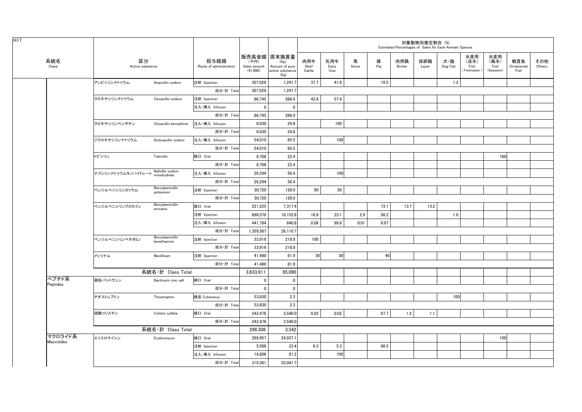| 系統名<br>Class | 区分<br>Active substance<br>アンピシリンナトリウム<br>クロキサシリンナトリウム<br>クロキサシリンベンザチン<br>ジクロキサシリンナトリウム<br>トビシリン | Ampicillin sodium<br>Cloxacillin sodium<br>Cloxacillin benzathine<br>Dicloxacillin sodium | 投与経路<br>Route of administration<br>注射 Injection<br>成分·計 Total<br>注射 Injection<br>注入·挿入 Infusion<br>成分·計 Total<br>注入·挿入 Infusion<br>成分·計 Total | 販売高金額   原末換算量<br>(千円)<br>Sales amount<br>$(*1,000)$<br>307,029<br>307,029<br>86,745<br>$\mathbf 0$<br>86,745<br>6,030 | (Kg)<br>Amount of pure<br>active substance<br>(Kg)<br>1,241.7<br>1,241.7<br>266.0<br>0 | 肉用牛<br>Beef<br>Cattle<br>37.7<br>42.6 | 乳用牛<br>Dairy<br>Cow<br>41.6 | 馬<br>Horse | 豚<br>Pig<br>19.5 | 肉用鶏<br>Broiler | 採卵鶏<br>Layer | 犬・猫<br>Dog/Cat<br>1.2 | 水産用<br>(淡水)<br>Fish<br>(Freshwater) | 水産用<br>(海水)<br>Fish<br>(Seawater) | 観賞魚<br>Ornamental<br>Fish | その他<br>Others |  |
|--------------|-------------------------------------------------------------------------------------------------|-------------------------------------------------------------------------------------------|-----------------------------------------------------------------------------------------------------------------------------------------------|-----------------------------------------------------------------------------------------------------------------------|----------------------------------------------------------------------------------------|---------------------------------------|-----------------------------|------------|------------------|----------------|--------------|-----------------------|-------------------------------------|-----------------------------------|---------------------------|---------------|--|
|              |                                                                                                 |                                                                                           |                                                                                                                                               |                                                                                                                       |                                                                                        |                                       |                             |            |                  |                |              |                       |                                     |                                   |                           |               |  |
|              |                                                                                                 |                                                                                           |                                                                                                                                               |                                                                                                                       |                                                                                        |                                       |                             |            |                  |                |              |                       |                                     |                                   |                           |               |  |
|              |                                                                                                 |                                                                                           |                                                                                                                                               |                                                                                                                       |                                                                                        |                                       |                             |            |                  |                |              |                       |                                     |                                   |                           |               |  |
|              |                                                                                                 |                                                                                           |                                                                                                                                               |                                                                                                                       |                                                                                        |                                       | 57.4                        |            |                  |                |              |                       |                                     |                                   |                           |               |  |
|              |                                                                                                 |                                                                                           |                                                                                                                                               |                                                                                                                       |                                                                                        |                                       |                             |            |                  |                |              |                       |                                     |                                   |                           |               |  |
|              |                                                                                                 |                                                                                           |                                                                                                                                               |                                                                                                                       | 266.0                                                                                  |                                       |                             |            |                  |                |              |                       |                                     |                                   |                           |               |  |
|              |                                                                                                 |                                                                                           |                                                                                                                                               |                                                                                                                       | 24.8                                                                                   |                                       | 100                         |            |                  |                |              |                       |                                     |                                   |                           |               |  |
|              |                                                                                                 |                                                                                           |                                                                                                                                               | 6,030                                                                                                                 | 24.8                                                                                   |                                       |                             |            |                  |                |              |                       |                                     |                                   |                           |               |  |
|              |                                                                                                 |                                                                                           | 注入·挿入 Infusion                                                                                                                                | 54,010                                                                                                                | 85.5                                                                                   |                                       | 100                         |            |                  |                |              |                       |                                     |                                   |                           |               |  |
|              |                                                                                                 |                                                                                           | 成分·計 Total                                                                                                                                    | 54,010                                                                                                                | 85.5                                                                                   |                                       |                             |            |                  |                |              |                       |                                     |                                   |                           |               |  |
|              |                                                                                                 | Tobicillin                                                                                | 経口 Oral                                                                                                                                       | 8,708                                                                                                                 | 22.4                                                                                   |                                       |                             |            |                  |                |              |                       |                                     | 100                               |                           |               |  |
|              |                                                                                                 |                                                                                           | 成分·計 Total                                                                                                                                    | 8,708                                                                                                                 | 22.4                                                                                   |                                       |                             |            |                  |                |              |                       |                                     |                                   |                           |               |  |
|              | ナフシリンナトリウムモノハイドレート                                                                              | Nafcillin sodium<br>monohydrate                                                           | 注入·挿入 Infusion                                                                                                                                | 26,294                                                                                                                | 50.4                                                                                   |                                       | 100                         |            |                  |                |              |                       |                                     |                                   |                           |               |  |
|              |                                                                                                 |                                                                                           | 成分·計 Total                                                                                                                                    | 26,294                                                                                                                | 50.4                                                                                   |                                       |                             |            |                  |                |              |                       |                                     |                                   |                           |               |  |
|              | ベンジルペニシリンカリウム                                                                                   | Benzylpenicillin<br>potassium                                                             | 注射 Injection                                                                                                                                  | 30,720                                                                                                                | 120.0                                                                                  | 50                                    | 50                          |            |                  |                |              |                       |                                     |                                   |                           |               |  |
|              |                                                                                                 |                                                                                           | 成分·計 Total                                                                                                                                    | 30,720                                                                                                                | 120.0                                                                                  |                                       |                             |            |                  |                |              |                       |                                     |                                   |                           |               |  |
|              | ベンジルペニシリンプロカイン                                                                                  | Benzylpenicillin<br>procaine                                                              | 経口 Oral                                                                                                                                       | 221,225                                                                                                               | 7,317.4                                                                                |                                       |                             |            | 73.1             | 13.7           | 13.2         |                       |                                     |                                   |                           |               |  |
|              |                                                                                                 |                                                                                           | 注射 Injection                                                                                                                                  | 696,578                                                                                                               | 18,152.6                                                                               | 16.8                                  | 23.1                        | 2.9        | 56.2             |                |              | 1.0                   |                                     |                                   |                           |               |  |
|              |                                                                                                 |                                                                                           | 注入·挿入 Infusion                                                                                                                                | 441,784                                                                                                               | 640.8                                                                                  | 0.08                                  | 99.8                        | 0.01       | 0.07             |                |              |                       |                                     |                                   |                           |               |  |
|              |                                                                                                 |                                                                                           | 成分·計 Total                                                                                                                                    | 1,359,587                                                                                                             | 26,110.7                                                                               |                                       |                             |            |                  |                |              |                       |                                     |                                   |                           |               |  |
|              | ベンジルペニシリンベネタミン                                                                                  | Benzylpenicillin<br>benethamine                                                           | 注射 Injection                                                                                                                                  | 33,919                                                                                                                | 218.8                                                                                  | 100                                   |                             |            |                  |                |              |                       |                                     |                                   |                           |               |  |
|              |                                                                                                 |                                                                                           | 成分·計 Total                                                                                                                                    | 33,919                                                                                                                | 218.8                                                                                  |                                       |                             |            |                  |                |              |                       |                                     |                                   |                           |               |  |
|              | メシリナム                                                                                           | Mecillinam                                                                                | 注射 Injection                                                                                                                                  | 41,480                                                                                                                | 81.9                                                                                   | 30                                    | 30                          |            | 40               |                |              |                       |                                     |                                   |                           |               |  |
|              |                                                                                                 |                                                                                           | 成分·計 Total                                                                                                                                    | 41,480                                                                                                                | 81.9                                                                                   |                                       |                             |            |                  |                |              |                       |                                     |                                   |                           |               |  |
|              |                                                                                                 | 系統名·計 Class Total                                                                         |                                                                                                                                               | 3,633,911                                                                                                             | 85,090                                                                                 |                                       |                             |            |                  |                |              |                       |                                     |                                   |                           |               |  |
| ペプチド系        | 亜鉛バシトラシン                                                                                        | Bacitracin zinc salt                                                                      | 経口 Oral                                                                                                                                       | 0                                                                                                                     | $\mathbf 0$                                                                            |                                       |                             |            |                  |                |              |                       |                                     |                                   |                           |               |  |
| Peptides     |                                                                                                 |                                                                                           | 成分·計 Total                                                                                                                                    | $^{\circ}$                                                                                                            | $\mathbf{0}$                                                                           |                                       |                             |            |                  |                |              |                       |                                     |                                   |                           |               |  |
|              | チオストレプトン                                                                                        | Thiostrepton                                                                              | 経皮 Cutaneous                                                                                                                                  | 53,830                                                                                                                | 2.3                                                                                    |                                       |                             |            |                  |                |              | 100                   |                                     |                                   |                           |               |  |
|              |                                                                                                 |                                                                                           | 成分·計 Total                                                                                                                                    | 53,830                                                                                                                | 2.3                                                                                    |                                       |                             |            |                  |                |              |                       |                                     |                                   |                           |               |  |
|              | 硫酸コリスチン                                                                                         | Colistin sulfate                                                                          | 経口 Oral                                                                                                                                       | 242,478                                                                                                               | 3,540.0                                                                                | 0.02                                  | 0.02                        |            | 97.7             | 1.2            | 1.1          |                       |                                     |                                   |                           |               |  |
|              |                                                                                                 |                                                                                           | 成分·計 Total                                                                                                                                    | 242,478                                                                                                               | 3,540.0                                                                                |                                       |                             |            |                  |                |              |                       |                                     |                                   |                           |               |  |
|              |                                                                                                 | 系統名·計 Class Total                                                                         |                                                                                                                                               | 296,308                                                                                                               | 3,542                                                                                  |                                       |                             |            |                  |                |              |                       |                                     |                                   |                           |               |  |
| マクロライド系      | エリスロマイシン                                                                                        | Erythromycin                                                                              | 経口 Oral                                                                                                                                       | 289,957                                                                                                               | 24,937.1                                                                               |                                       |                             |            |                  |                |              |                       |                                     | 100                               |                           |               |  |
| Macrolides   |                                                                                                 |                                                                                           | 注射 Injection                                                                                                                                  | 5,598                                                                                                                 | 23.4                                                                                   | 6.3                                   | 5.3                         |            | 88.5             |                |              |                       |                                     |                                   |                           |               |  |
|              |                                                                                                 |                                                                                           | 注入·挿入 Infusion                                                                                                                                | 14,806                                                                                                                | 81.2                                                                                   |                                       | 100                         |            |                  |                |              |                       |                                     |                                   |                           |               |  |
|              |                                                                                                 |                                                                                           | 成分·計 Total                                                                                                                                    | 310,361                                                                                                               | 25.041.7                                                                               |                                       |                             |            |                  |                |              |                       |                                     |                                   |                           |               |  |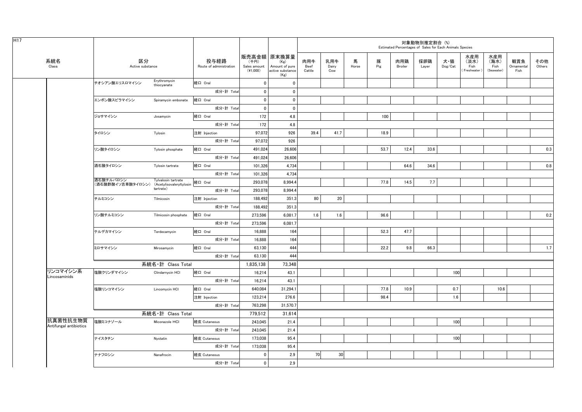|                                    |                                                         |                             |                                 |                                  |                                                                   |                       |                     |            |          | Estimated Percentages of Sales for Each Animals Species | 対象動物別推定割合 (%) |                                    |                                    |                                   |                           |               |  |
|------------------------------------|---------------------------------------------------------|-----------------------------|---------------------------------|----------------------------------|-------------------------------------------------------------------|-----------------------|---------------------|------------|----------|---------------------------------------------------------|---------------|------------------------------------|------------------------------------|-----------------------------------|---------------------------|---------------|--|
| 系統名<br>Class                       | 区分<br>Active substance                                  |                             | 投与経路<br>Route of administration | (千円)<br>Sales amount<br>(41,000) | 販売高金額 原末換算量<br>(Kg)<br>Amount of pure<br>active substance<br>(Kg) | 肉用牛<br>Beef<br>Cattle | 乳用牛<br>Dairy<br>Cow | 馬<br>Horse | 豚<br>Pig | 肉用鶏<br>Broiler                                          | 採卵鶏<br>Layer  | 犬・猫<br>$\mathsf{Dog}/\mathsf{Cat}$ | 水産用<br>(淡水)<br>Fish<br>Freshwater) | 水産用<br>(海水)<br>Fish<br>(Seawater) | 観賞魚<br>Ornamental<br>Fish | その他<br>Others |  |
|                                    | チオシアン酸エリスロマイシン                                          | Erythromycin<br>thiocyanate | 経口 Oral                         | $\mathbf 0$                      | $\mathbf 0$                                                       |                       |                     |            |          |                                                         |               |                                    |                                    |                                   |                           |               |  |
|                                    |                                                         |                             | 成分·計 Total                      | $\overline{0}$                   | $\overline{0}$                                                    |                       |                     |            |          |                                                         |               |                                    |                                    |                                   |                           |               |  |
|                                    | エンボン酸スピラマイシン                                            | Spiramycin embonate         | 経口 Oral                         | $\mathbf 0$                      | $\mathbf 0$                                                       |                       |                     |            |          |                                                         |               |                                    |                                    |                                   |                           |               |  |
|                                    |                                                         |                             | 成分·計 Total                      | $\mathbf 0$                      | $\mathbf 0$                                                       |                       |                     |            |          |                                                         |               |                                    |                                    |                                   |                           |               |  |
|                                    | ジョサマイシン                                                 | Josamycin                   | 経口 Oral                         | 172                              | 4.8                                                               |                       |                     |            | 100      |                                                         |               |                                    |                                    |                                   |                           |               |  |
|                                    |                                                         |                             | 成分·計 Total                      | 172                              | 4.8                                                               |                       |                     |            |          |                                                         |               |                                    |                                    |                                   |                           |               |  |
|                                    | タイロシン                                                   | Tylosin                     | 注射 Injection                    | 97,072                           | 926                                                               | 39.4                  | 41.7                |            | 18.9     |                                                         |               |                                    |                                    |                                   |                           |               |  |
|                                    |                                                         |                             | 成分·計 Total                      | 97,072                           | 926                                                               |                       |                     |            |          |                                                         |               |                                    |                                    |                                   |                           |               |  |
|                                    | リン酸タイロシン                                                | Tylosin phosphate           | 経口 Oral                         | 491,024                          | 26,606                                                            |                       |                     |            | 53.7     | 12.4                                                    | 33.6          |                                    |                                    |                                   |                           | 0.3           |  |
|                                    |                                                         |                             | 成分·計 Total                      | 491,024                          | 26,606                                                            |                       |                     |            |          |                                                         |               |                                    |                                    |                                   |                           |               |  |
|                                    | 酒石酸タイロシン                                                | Tylosin tartrate            | 経口 Oral                         | 101,326                          | 4,734                                                             |                       |                     |            |          | 64.6                                                    | 34.6          |                                    |                                    |                                   |                           | 0.8           |  |
|                                    |                                                         |                             | 成分·計 Total                      | 101,326                          | 4,734                                                             |                       |                     |            |          |                                                         |               |                                    |                                    |                                   |                           |               |  |
|                                    | 酒石酸チルバロシン<br>(酒石酸酢酸イソ吉草酸タイロシン) (Acetylisovaleryltylosin | Tylvalosin tartrate         | 経口 Oral                         | 293,078                          | 8,994.4                                                           |                       |                     |            | 77.8     | 14.5                                                    | 7.7           |                                    |                                    |                                   |                           |               |  |
|                                    |                                                         | tartrate)                   | 成分·計 Total                      | 293,078                          | 8,994.4                                                           |                       |                     |            |          |                                                         |               |                                    |                                    |                                   |                           |               |  |
|                                    | チルミコシン                                                  | Tilmicosin                  | 注射 Injection                    | 188,492                          | 351.3                                                             | 80                    | 20                  |            |          |                                                         |               |                                    |                                    |                                   |                           |               |  |
|                                    |                                                         |                             | 成分·計 Total                      | 188,492                          | 351.3                                                             |                       |                     |            |          |                                                         |               |                                    |                                    |                                   |                           |               |  |
|                                    | リン酸チルミコシン                                               | Tilmicosin phosphate        | 経口 Oral                         | 273,596                          | 6,081.7                                                           | 1.6                   | 1.6                 |            | 96.6     |                                                         |               |                                    |                                    |                                   |                           | 0.2           |  |
|                                    |                                                         |                             | 成分·計 Total                      | 273,596                          | 6,081.7                                                           |                       |                     |            |          |                                                         |               |                                    |                                    |                                   |                           |               |  |
|                                    | テルデカマイシン                                                | Terdecamycin                | 経口 Oral                         | 16,888                           | 164                                                               |                       |                     |            | 52.3     | 47.7                                                    |               |                                    |                                    |                                   |                           |               |  |
|                                    |                                                         |                             | 成分·計 Total                      | 16,888                           | 164                                                               |                       |                     |            |          |                                                         |               |                                    |                                    |                                   |                           |               |  |
|                                    | ミロサマイシン                                                 | Mirosamycin                 | 経口 Oral                         | 63,130                           | 444                                                               |                       |                     |            | 22.2     | 9.8                                                     | 66.3          |                                    |                                    |                                   |                           | 1.7           |  |
|                                    |                                                         |                             | 成分·計 Total                      | 63,130                           | 444                                                               |                       |                     |            |          |                                                         |               |                                    |                                    |                                   |                           |               |  |
|                                    |                                                         | 系統名・計 Class Total           |                                 | 1.835.138                        | 73,348                                                            |                       |                     |            |          |                                                         |               |                                    |                                    |                                   |                           |               |  |
| リンコマイシン系<br>Lincosaminids          | 塩酸クリンダマイシン                                              | Clindarnycin HCI            | 経口 Oral                         | 16,214                           | 43.1                                                              |                       |                     |            |          |                                                         |               | 100                                |                                    |                                   |                           |               |  |
|                                    |                                                         |                             | 成分·計 Total                      | 16,214                           | 43.1                                                              |                       |                     |            |          |                                                         |               |                                    |                                    |                                   |                           |               |  |
|                                    | 塩酸リンコマイシン                                               | Lincomycin HCI              | 経口 Oral                         | 640,084                          | 31,294.1                                                          |                       |                     |            | 77.8     | 10.9                                                    |               | 0.7                                |                                    | 10.6                              |                           |               |  |
|                                    |                                                         |                             | 注射 Injection                    | 123,214                          | 276.6                                                             |                       |                     |            | 98.4     |                                                         |               | 1.6                                |                                    |                                   |                           |               |  |
|                                    |                                                         |                             | 成分·計 Total                      | 763.298                          | 31,570.7                                                          |                       |                     |            |          |                                                         |               |                                    |                                    |                                   |                           |               |  |
|                                    |                                                         | 系統名·計 Class Total           |                                 | 779,512                          | 31,614                                                            |                       |                     |            |          |                                                         |               |                                    |                                    |                                   |                           |               |  |
| 抗真菌性抗生物質<br>Antifungal antibiotics | 塩酸ミコナゾール                                                | Miconazole HCI              | 経皮 Cutaneous                    | 243,045                          | 21.4                                                              |                       |                     |            |          |                                                         |               | 100                                |                                    |                                   |                           |               |  |
|                                    |                                                         |                             | 成分·計 Total                      | 243,045                          | 21.4                                                              |                       |                     |            |          |                                                         |               |                                    |                                    |                                   |                           |               |  |
|                                    | ナイスタチン                                                  | Nystatin                    | 経皮 Cutaneous                    | 173,038                          | 95.4                                                              |                       |                     |            |          |                                                         |               | 100                                |                                    |                                   |                           |               |  |
|                                    |                                                         |                             | 成分·計 Total                      | 173,038                          | 95.4                                                              |                       |                     |            |          |                                                         |               |                                    |                                    |                                   |                           |               |  |
|                                    | ナナフロシン                                                  | Nanafrocin                  | 経皮 Cutaneous                    | 0                                | 2.9                                                               | 70                    | 30                  |            |          |                                                         |               |                                    |                                    |                                   |                           |               |  |
|                                    |                                                         |                             | 成分·計 Total                      | $\mathbf 0$                      | 2.9                                                               |                       |                     |            |          |                                                         |               |                                    |                                    |                                   |                           |               |  |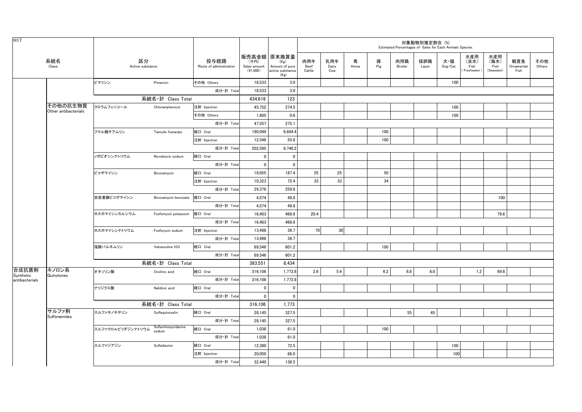| H <sub>17</sub>    |                                  |                        |                      |                                 |                                  |                                                                   |                       |                     |            |          |                | 対象動物別推定割合 (%)<br>Estimated Percentages of Sales for Each Animals Species |                                    |                                   |                                   |                           |               |
|--------------------|----------------------------------|------------------------|----------------------|---------------------------------|----------------------------------|-------------------------------------------------------------------|-----------------------|---------------------|------------|----------|----------------|--------------------------------------------------------------------------|------------------------------------|-----------------------------------|-----------------------------------|---------------------------|---------------|
|                    | 系統名<br>Class                     | 区分<br>Active substance |                      | 投与経路<br>Route of administration | (千円)<br>Sales amount<br>(41,000) | 販売高金額 原末換算量<br>(Kg)<br>Amount of pure<br>active substance<br>(Kg) | 肉用牛<br>Beef<br>Cattle | 乳用牛<br>Dairy<br>Cow | 馬<br>Horse | 豚<br>Pig | 肉用鶏<br>Broiler | 採卵鶏<br>Layer                                                             | 犬・猫<br>$\mathsf{Dog}/\mathsf{Cat}$ | 水産用<br>(淡水)<br>Fish<br>Freshwater | 水産用<br>(海水)<br>Fish<br>(Seawater) | 観賞魚<br>Ornamental<br>Fish | その他<br>Others |
|                    |                                  | ピマリシン                  | Pimaricin            | その他 Others                      | 18,533                           | 3.0                                                               |                       |                     |            |          |                |                                                                          | 100                                |                                   |                                   |                           |               |
|                    |                                  |                        |                      | 成分·計 Total                      | 18,533                           | 3.0                                                               |                       |                     |            |          |                |                                                                          |                                    |                                   |                                   |                           |               |
|                    |                                  |                        | 系統名·計 Class Total    |                                 | 434,616                          | 123                                                               |                       |                     |            |          |                |                                                                          |                                    |                                   |                                   |                           |               |
|                    | その他の抗生物質<br>Other antibacterials | クロラムフェニコール             | Chloramphenicol      | 注射 Injection                    | 45,752                           | 274.5                                                             |                       |                     |            |          |                |                                                                          | 100                                |                                   |                                   |                           |               |
|                    |                                  |                        |                      | その他 Others                      | 1,805                            | 0.6                                                               |                       |                     |            |          |                |                                                                          | 100                                |                                   |                                   |                           |               |
|                    |                                  |                        |                      | 成分·計 Total                      | 47,557                           | 275.1                                                             |                       |                     |            |          |                |                                                                          |                                    |                                   |                                   |                           |               |
|                    |                                  | フマル酸チアムリン              | Tiamulin fumarate    | 経口 Oral                         | 190,049                          | 6,684.4                                                           |                       |                     |            | 100      |                |                                                                          |                                    |                                   |                                   |                           |               |
|                    |                                  |                        |                      | 注射 Injection                    | 12,546                           | 55.8                                                              |                       |                     |            | 100      |                |                                                                          |                                    |                                   |                                   |                           |               |
|                    |                                  |                        |                      | 成分·計 Total                      | 202,595                          | 6,740.2                                                           |                       |                     |            |          |                |                                                                          |                                    |                                   |                                   |                           |               |
|                    |                                  | ノボビオシンナトリウム            | Novobiocin sodium    | 経口 Oral                         | $\mathbf 0$                      | $\mathbf 0$                                                       |                       |                     |            |          |                |                                                                          |                                    |                                   |                                   |                           |               |
|                    |                                  |                        |                      | 成分·計 Total                      | $\mathbf{0}$                     | $\mathbf 0$                                                       |                       |                     |            |          |                |                                                                          |                                    |                                   |                                   |                           |               |
|                    |                                  | ビコザマイシン                | Bicozamycin          | 経口 Oral                         | 19,055                           | 187.4                                                             | 25                    | 25                  |            | 50       |                |                                                                          |                                    |                                   |                                   |                           |               |
|                    |                                  |                        |                      | 注射 Injection                    | 10,323                           | 72.4                                                              | 33                    | 33                  |            | 34       |                |                                                                          |                                    |                                   |                                   |                           |               |
|                    |                                  |                        |                      | 成分·計 Total                      | 29,378                           | 259.8                                                             |                       |                     |            |          |                |                                                                          |                                    |                                   |                                   |                           |               |
|                    |                                  | 安息香酸ビコザマイシン            | Bicozamycin benzoate | 経口 Oral                         | 4,574                            | 49.8                                                              |                       |                     |            |          |                |                                                                          |                                    |                                   | 100                               |                           |               |
|                    |                                  |                        |                      | 成分·計 Total                      | 4,574                            | 49.8                                                              |                       |                     |            |          |                |                                                                          |                                    |                                   |                                   |                           |               |
|                    |                                  | ホスホマイシンカルシウム           | Fosfomycin potassium | 経口 Oral                         | 16,403                           | 468.6                                                             | 20.4                  |                     |            |          |                |                                                                          |                                    |                                   | 79.6                              |                           |               |
|                    |                                  |                        |                      | 成分·計 Total                      | 16,403                           | 468.6                                                             |                       |                     |            |          |                |                                                                          |                                    |                                   |                                   |                           |               |
|                    |                                  | ホスホマイシンナトリウム           | Fosforycin sodium    | 注射 Injection                    | 13,498                           | 39.7                                                              | 70                    | 30                  |            |          |                |                                                                          |                                    |                                   |                                   |                           |               |
|                    |                                  |                        |                      | 成分·計 Total                      | 13,498                           | 39.7                                                              |                       |                     |            |          |                |                                                                          |                                    |                                   |                                   |                           |               |
|                    |                                  | 塩酸バルネムリン               | Valnemuline HCI      | 経口 Oral                         | 69,546                           | 601.2                                                             |                       |                     |            | 100      |                |                                                                          |                                    |                                   |                                   |                           |               |
|                    |                                  |                        |                      | 成分·計 Total                      | 69,546                           | 601.2                                                             |                       |                     |            |          |                |                                                                          |                                    |                                   |                                   |                           |               |
|                    |                                  |                        | 系統名·計 Class Total    |                                 | 383,551                          | 8.434                                                             |                       |                     |            |          |                |                                                                          |                                    |                                   |                                   |                           |               |
| 合成抗菌剤<br>Synthetic | キノロン系<br>Quinolones              | オキソリン酸                 | Oxolinic acid        | 経口 Oral                         | 316,106                          | 1,772.8                                                           | 2.6                   | 5.4                 |            | 6.2      | 8.8            | 6.0                                                                      |                                    | 1.2                               | 69.8                              |                           |               |
| antibacterials     |                                  |                        |                      | 成分·計 Total                      | 316,106                          | 1,772.8                                                           |                       |                     |            |          |                |                                                                          |                                    |                                   |                                   |                           |               |
|                    |                                  | ナリジクス酸                 | Nalidixic acid       | 経口 Oral                         | $\mathbf 0$                      | $\mathbf 0$                                                       |                       |                     |            |          |                |                                                                          |                                    |                                   |                                   |                           |               |
|                    |                                  |                        |                      | 成分·計 Total                      | $\mathbf{0}$                     | $\mathbf 0$                                                       |                       |                     |            |          |                |                                                                          |                                    |                                   |                                   |                           |               |
|                    |                                  |                        | 系統名·計 Class Total    |                                 | 316,106                          | 1,773                                                             |                       |                     |            |          |                |                                                                          |                                    |                                   |                                   |                           |               |
|                    | サルファ剤<br>Sulfonamides            | スルファキノキサリン             | Sulfaquinoxalin      | 経口 Oral                         | 28,145                           | 327.5                                                             |                       |                     |            |          | 55             | 45                                                                       |                                    |                                   |                                   |                           |               |
|                    |                                  |                        | Sulfachlorpyridazine | 成分·計 Total                      | 28,145                           | 327.5                                                             |                       |                     |            |          |                |                                                                          |                                    |                                   |                                   |                           |               |
|                    |                                  | スルファクロルピリダジンナトリウム      | sodium               | 経口 Oral                         | 1.038                            | 61.0                                                              |                       |                     |            | 100      |                |                                                                          |                                    |                                   |                                   |                           |               |
|                    |                                  |                        |                      | 成分·計 Total                      | 1,038                            | 61.0                                                              |                       |                     |            |          |                |                                                                          |                                    |                                   |                                   |                           |               |
|                    |                                  | スルファジアジン               | Sulfadiazine         | 経口 Oral                         | 12,390                           | 72.5                                                              |                       |                     |            |          |                |                                                                          | 100                                |                                   |                                   |                           |               |
|                    |                                  |                        |                      | 注射 Injection                    | 20,050                           | 66.0                                                              |                       |                     |            |          |                |                                                                          | 100                                |                                   |                                   |                           |               |
|                    |                                  |                        |                      | 成分·計 Total                      | 32,440                           | 138.5                                                             |                       |                     |            |          |                |                                                                          |                                    |                                   |                                   |                           |               |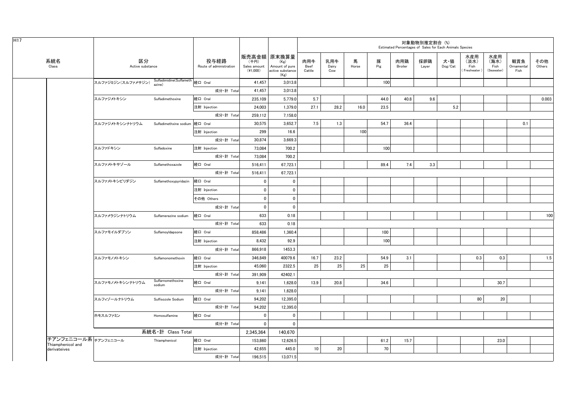|                                   |                                                    |                                 |                                 |                                    |                                                                   |                       |                     |            |          |                | 対象動物別推定割合 (%)<br>Estimated Percentages of Sales for Each Animals Species |                                    |                                     |                                   |                           |               |
|-----------------------------------|----------------------------------------------------|---------------------------------|---------------------------------|------------------------------------|-------------------------------------------------------------------|-----------------------|---------------------|------------|----------|----------------|--------------------------------------------------------------------------|------------------------------------|-------------------------------------|-----------------------------------|---------------------------|---------------|
| 系統名<br>Class                      | 区分<br>Active substance                             |                                 | 投与経路<br>Route of administration | (千円)<br>Sales amount<br>$(*1,000)$ | 販売高金額 原末換算量<br>(Kg)<br>Amount of pure<br>active substance<br>(Kg) | 肉用牛<br>Beef<br>Cattle | 乳用牛<br>Dairy<br>Cow | 馬<br>Horse | 豚<br>Pig | 肉用鶏<br>Broiler | 採卵鶏<br>Layer                                                             | 犬・猫<br>$\mathsf{Dog}/\mathsf{Cat}$ | 水産用<br>(淡水)<br>Fish<br>(Freshwater) | 水産用<br>(海水)<br>Fish<br>(Seawater) | 観賞魚<br>Ornamental<br>Fish | その他<br>Others |
|                                   | スルファジミジン(スルファメサジン) Sulfadimidine(Sulfameth 経口 Oral | azine)                          |                                 | 41,457                             | 3,013.8                                                           |                       |                     |            | 100      |                |                                                                          |                                    |                                     |                                   |                           |               |
|                                   |                                                    |                                 | 成分·計 Total                      | 41.457                             | 3,013.8                                                           |                       |                     |            |          |                |                                                                          |                                    |                                     |                                   |                           |               |
|                                   | スルファジメトキシン                                         | Sulfadimethoxine                | 経口 Oral                         | 235,109                            | 5,779.0                                                           | 5.7                   |                     |            | 44.0     | 40.8           | 9.6                                                                      |                                    |                                     |                                   |                           | 0.003         |
|                                   |                                                    |                                 | 注射 Injection                    | 24,003                             | 1,379.0                                                           | 27.1                  | 28.2                | 16.0       | 23.5     |                |                                                                          | 5.2                                |                                     |                                   |                           |               |
|                                   |                                                    |                                 | 成分·計 Total                      | 259,112                            | 7,158.0                                                           |                       |                     |            |          |                |                                                                          |                                    |                                     |                                   |                           |               |
|                                   | スルファジメトキシンナトリウム                                    | Sulfadimethxine sodium  経口 Oral |                                 | 30,575                             | 3,652.7                                                           | 7.5                   | 1.3                 |            | 54.7     | 36.4           |                                                                          |                                    |                                     |                                   | 0.1                       |               |
|                                   |                                                    |                                 | 注射 Injection                    | 299                                | 16.6                                                              |                       |                     | 100        |          |                |                                                                          |                                    |                                     |                                   |                           |               |
|                                   |                                                    |                                 | 成分·計 Total                      | 30,874                             | 3,669.3                                                           |                       |                     |            |          |                |                                                                          |                                    |                                     |                                   |                           |               |
|                                   | スルファドキシン                                           | Sulfadoxine                     | 注射 Injection                    | 73,084                             | 700.2                                                             |                       |                     |            | 100      |                |                                                                          |                                    |                                     |                                   |                           |               |
|                                   |                                                    |                                 | 成分·計 Total                      | 73,084                             | 700.2                                                             |                       |                     |            |          |                |                                                                          |                                    |                                     |                                   |                           |               |
|                                   | スルファメトキサゾール                                        | Sulfamethoxazole                | 経口 Oral                         | 516.411                            | 67,723.1                                                          |                       |                     |            | 89.4     | 7.4            | 3.3                                                                      |                                    |                                     |                                   |                           |               |
|                                   |                                                    |                                 | 成分·計 Total                      | 516,411                            | 67,723.1                                                          |                       |                     |            |          |                |                                                                          |                                    |                                     |                                   |                           |               |
|                                   | スルファメトキシピリダジン                                      | Sulfamethoxypyridazin           | 経口 Oral                         | 0                                  | 0                                                                 |                       |                     |            |          |                |                                                                          |                                    |                                     |                                   |                           |               |
|                                   |                                                    |                                 | 注射 Injection                    | $\overline{\mathbf{0}}$            | 0                                                                 |                       |                     |            |          |                |                                                                          |                                    |                                     |                                   |                           |               |
|                                   |                                                    |                                 | その他 Others                      | $\mathbf 0$                        | 0                                                                 |                       |                     |            |          |                |                                                                          |                                    |                                     |                                   |                           |               |
|                                   |                                                    |                                 | 成分·計 Total                      | $\overline{\mathbf{0}}$            | $\mathbf 0$                                                       |                       |                     |            |          |                |                                                                          |                                    |                                     |                                   |                           |               |
|                                   | スルファメラジンナトリウム                                      | Sulfamerazine sodium            | 経口 Oral                         | 633                                | 0.18                                                              |                       |                     |            |          |                |                                                                          |                                    |                                     |                                   |                           | 100           |
|                                   |                                                    |                                 | 成分·計 Total                      | 633                                | 0.18                                                              |                       |                     |            |          |                |                                                                          |                                    |                                     |                                   |                           |               |
|                                   | スルファモイルダブソン                                        | SulfamoyIdapsone                | 経口 Oral                         | 858,486                            | 1,360.4                                                           |                       |                     |            | 100      |                |                                                                          |                                    |                                     |                                   |                           |               |
|                                   |                                                    |                                 | 注射 Injection                    | 8,432                              | 92.9                                                              |                       |                     |            | 100      |                |                                                                          |                                    |                                     |                                   |                           |               |
|                                   |                                                    |                                 | 成分·計 Total                      | 866,918                            | 1453.3                                                            |                       |                     |            |          |                |                                                                          |                                    |                                     |                                   |                           |               |
|                                   | スルファモノメトキシン                                        | Sulfamonomethoxin               | 経口 Oral                         | 346,849                            | 40079.6                                                           | 16.7                  | 23.2                |            | 54.9     | 3.1            |                                                                          |                                    | 0.3                                 | 0.3                               |                           | 1.5           |
|                                   |                                                    |                                 | 注射 Injection                    | 45,060                             | 2322.5                                                            | 25                    | 25                  | 25         | 25       |                |                                                                          |                                    |                                     |                                   |                           |               |
|                                   |                                                    |                                 | 成分·計 Total                      | 391,909                            | 42402.1                                                           |                       |                     |            |          |                |                                                                          |                                    |                                     |                                   |                           |               |
|                                   | スルファモノメトキシンナトリウム                                   | Sulfarnomethoxine<br>sodium     | 経口 Oral                         | 9,141                              | 1,628.0                                                           | 13.9                  | 20.8                |            | 34.6     |                |                                                                          |                                    |                                     | 30.7                              |                           |               |
|                                   |                                                    |                                 | 成分·計 Total                      | 9.141                              | 1,628.0                                                           |                       |                     |            |          |                |                                                                          |                                    |                                     |                                   |                           |               |
|                                   | スルフィゾールナトリウム                                       | Sulfisozole Sodium              | 経口 Oral                         | 94.202                             | 12.395.0                                                          |                       |                     |            |          |                |                                                                          |                                    | 80                                  | 20                                |                           |               |
|                                   |                                                    |                                 | 成分·計 Total                      | 94,202                             | 12,395.0                                                          |                       |                     |            |          |                |                                                                          |                                    |                                     |                                   |                           |               |
|                                   | ホモスルファミン                                           | Homosulfamine                   | 経口 Oral                         | $\overline{\mathbf{0}}$            | 0                                                                 |                       |                     |            |          |                |                                                                          |                                    |                                     |                                   |                           |               |
|                                   |                                                    |                                 | 成分·計 Total                      | $\mathbf 0$                        | $\mathbf{0}$                                                      |                       |                     |            |          |                |                                                                          |                                    |                                     |                                   |                           |               |
|                                   |                                                    | 系統名·計 Class Total               |                                 | 2,345,364                          | 140,670                                                           |                       |                     |            |          |                |                                                                          |                                    |                                     |                                   |                           |               |
| チアンフェニコール系テァンフェニコール               |                                                    | Thiamphenicol                   | 経口 Oral                         | 153,860                            | 12,626.5                                                          |                       |                     |            | 61.2     | 15.7           |                                                                          |                                    |                                     | 23.0                              |                           |               |
| Thiamphenicol and<br>derivateives |                                                    |                                 | 注射 Injection                    | 42,655                             | 445.0                                                             | 10                    | 20                  |            | 70       |                |                                                                          |                                    |                                     |                                   |                           |               |
|                                   |                                                    |                                 | 成分·計 Total                      | 196,515                            | 13,071.5                                                          |                       |                     |            |          |                |                                                                          |                                    |                                     |                                   |                           |               |
|                                   |                                                    |                                 |                                 |                                    |                                                                   |                       |                     |            |          |                |                                                                          |                                    |                                     |                                   |                           |               |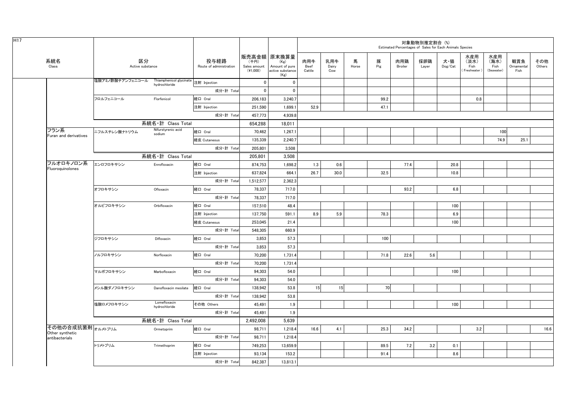|                                   |                  |                                                       |                                 |                                  |                                                                   |                       |                     |            |          | Estimated Percentages of Sales for Each Animals Species | 対象動物別推定割合 (%) |                |                                     |                                   |                           |               |
|-----------------------------------|------------------|-------------------------------------------------------|---------------------------------|----------------------------------|-------------------------------------------------------------------|-----------------------|---------------------|------------|----------|---------------------------------------------------------|---------------|----------------|-------------------------------------|-----------------------------------|---------------------------|---------------|
| 系統名<br>Class                      |                  | 区分<br>Active substance                                | 投与経路<br>Route of administration | (千円)<br>Sales amount<br>(41,000) | 販売高金額 原末換算量<br>(Kg)<br>Amount of pure<br>active substance<br>(Kg) | 肉用牛<br>Beef<br>Cattle | 乳用牛<br>Dairy<br>Cow | 馬<br>Horse | 豚<br>Pig | 肉用鶏<br>Broiler                                          | 採卵鶏<br>Layer  | 犬・猫<br>Dog/Cat | 水産用<br>(淡水)<br>Fish<br>(Freshwater) | 水産用<br>(海水)<br>Fish<br>(Seawater) | 観賞魚<br>Ornamental<br>Fish | その他<br>Others |
|                                   | 塩酸アミノ酢酸チアンフェニコール | Thiamphenicol glycinate 注射 Injection<br>hydrochloride |                                 | $\mathbf 0$                      | $\mathbf 0$                                                       |                       |                     |            |          |                                                         |               |                |                                     |                                   |                           |               |
|                                   |                  |                                                       | 成分·計 Total                      | $\mathbf 0$                      | $\mathbf 0$                                                       |                       |                     |            |          |                                                         |               |                |                                     |                                   |                           |               |
|                                   | フロルフェニコール        | Florfenicol                                           | 経口 Oral                         | 206,183                          | 3,240.7                                                           |                       |                     |            | 99.2     |                                                         |               |                | 0.8                                 |                                   |                           |               |
|                                   |                  |                                                       | 注射 Injection                    | 251,590                          | 1,699.1                                                           | 52.9                  |                     |            | 47.1     |                                                         |               |                |                                     |                                   |                           |               |
|                                   |                  |                                                       | 成分·計 Total                      | 457,773                          | 4,939.8                                                           |                       |                     |            |          |                                                         |               |                |                                     |                                   |                           |               |
|                                   |                  | 系統名·計 Class Total                                     |                                 | 654.288                          | 18.011                                                            |                       |                     |            |          |                                                         |               |                |                                     |                                   |                           |               |
| フラン系                              | ニフルスチレン酸ナトリウム    | Nifurstyrenic acid<br>sodium                          | 経口 Oral                         | 70,462                           | 1,267.1                                                           |                       |                     |            |          |                                                         |               |                |                                     | 100                               |                           |               |
| Furan and derivatives             |                  |                                                       | 経皮 Cutaneous                    | 135,339                          | 2,240.7                                                           |                       |                     |            |          |                                                         |               |                |                                     | 74.9                              | 25.1                      |               |
|                                   |                  |                                                       | 成分·計 Total                      | 205,801                          | 3.508                                                             |                       |                     |            |          |                                                         |               |                |                                     |                                   |                           |               |
|                                   |                  | 系統名·計 Class Total                                     |                                 | 205,801                          | 3,508                                                             |                       |                     |            |          |                                                         |               |                |                                     |                                   |                           |               |
| フルオロキノロン系                         | エンロフロキサシン        | Enrofloxacin                                          | 経口 Oral                         | 874,753                          | 1,698.2                                                           | 1.3                   | 0.6                 |            |          | 77.4                                                    |               | 20.8           |                                     |                                   |                           |               |
| Fluoroquinolones                  |                  |                                                       | 注射 Injection                    | 637,824                          | 664.1                                                             | 26.7                  | 30.0                |            | 32.5     |                                                         |               | 10.8           |                                     |                                   |                           |               |
|                                   |                  |                                                       | 成分·計 Total                      | 1,512,577                        | 2,362.3                                                           |                       |                     |            |          |                                                         |               |                |                                     |                                   |                           |               |
|                                   | オフロキサシン          | Ofloxacin                                             | 経口 Oral                         | 78,337                           | 717.0                                                             |                       |                     |            |          | 93.2                                                    |               | 6.8            |                                     |                                   |                           |               |
|                                   |                  |                                                       | 成分·計 Total                      | 78,337                           | 717.0                                                             |                       |                     |            |          |                                                         |               |                |                                     |                                   |                           |               |
|                                   | オルビフロキサシン        | Orbifloxacin                                          | 経口 Oral                         | 157,510                          | 48.4                                                              |                       |                     |            |          |                                                         |               | 100            |                                     |                                   |                           |               |
|                                   |                  |                                                       | 注射 Injection                    | 137,750                          | 591.1                                                             | 8.9                   | 5.9                 |            | 78.3     |                                                         |               | 6.9            |                                     |                                   |                           |               |
|                                   |                  |                                                       | 経皮 Cutaneous                    | 253.045                          | 21.4                                                              |                       |                     |            |          |                                                         |               | 100            |                                     |                                   |                           |               |
|                                   |                  |                                                       | 成分·計 Total                      | 548,305                          | 660.9                                                             |                       |                     |            |          |                                                         |               |                |                                     |                                   |                           |               |
|                                   | ジフロキサシン          | Difloxacin                                            | 経口 Oral                         | 3.853                            | 57.3                                                              |                       |                     |            | 100      |                                                         |               |                |                                     |                                   |                           |               |
|                                   |                  |                                                       | 成分·計 Total                      | 3,853                            | 57.3                                                              |                       |                     |            |          |                                                         |               |                |                                     |                                   |                           |               |
|                                   | ノルフロキサシン         | Norfloxacin                                           | 経口 Oral                         | 70,200                           | 1,731.4                                                           |                       |                     |            | 71.8     | 22.6                                                    | 5.6           |                |                                     |                                   |                           |               |
|                                   |                  |                                                       | 成分·計 Total                      | 70,200                           | 1,731.4                                                           |                       |                     |            |          |                                                         |               |                |                                     |                                   |                           |               |
|                                   | マルボフロキサシン        | Marbofloxacin                                         | 経口 Oral                         | 94,303                           | 54.0                                                              |                       |                     |            |          |                                                         |               | 100            |                                     |                                   |                           |               |
|                                   |                  |                                                       | 成分·計 Total                      | 94,303                           | 54.0                                                              |                       |                     |            |          |                                                         |               |                |                                     |                                   |                           |               |
|                                   | メシル酸ダノフロキサシン     | Danofloxacin mesilate                                 | 経口 Oral                         | 138,942                          | 53.8                                                              | 15                    | 15                  |            | 70       |                                                         |               |                |                                     |                                   |                           |               |
|                                   |                  |                                                       | 成分·計 Total                      | 138,942                          | 53.8                                                              |                       |                     |            |          |                                                         |               |                |                                     |                                   |                           |               |
|                                   | 塩酸ロメフロキサシン       | Lomefloxacin<br>hydrochloride                         | その他 Others                      | 45,491                           | 1.9                                                               |                       |                     |            |          |                                                         |               | 100            |                                     |                                   |                           |               |
|                                   |                  |                                                       | 成分·計 Total                      | 45,491                           | 1.9                                                               |                       |                     |            |          |                                                         |               |                |                                     |                                   |                           |               |
|                                   |                  | 系統名·計 Class Total                                     |                                 | 2,492,008                        | 5,639                                                             |                       |                     |            |          |                                                         |               |                |                                     |                                   |                           |               |
| その他の合成抗菌剤オルメナプリム                  |                  | Ormetoprim                                            | 経口 Oral                         | 98,711                           | 1,218.4                                                           | 16.6                  | 4.1                 |            | 25.3     | 34.2                                                    |               |                | 3.2                                 |                                   |                           | 16.6          |
| Other synthetic<br>antibacterials |                  |                                                       | 成分·計 Total                      | 98,711                           | 1,218.4                                                           |                       |                     |            |          |                                                         |               |                |                                     |                                   |                           |               |
|                                   | トリメトプリム          | Trimethoprim                                          | 経口 Oral                         | 749,253                          | 13,659.9                                                          |                       |                     |            | 89.5     | 7.2                                                     | 3.2           | 0.1            |                                     |                                   |                           |               |
|                                   |                  |                                                       | 注射 Injection                    | 93,134                           | 153.2                                                             |                       |                     |            | 91.4     |                                                         |               | 8.6            |                                     |                                   |                           |               |
|                                   |                  |                                                       | 成分·計 Total                      | 842,387                          | 13,813.1                                                          |                       |                     |            |          |                                                         |               |                |                                     |                                   |                           |               |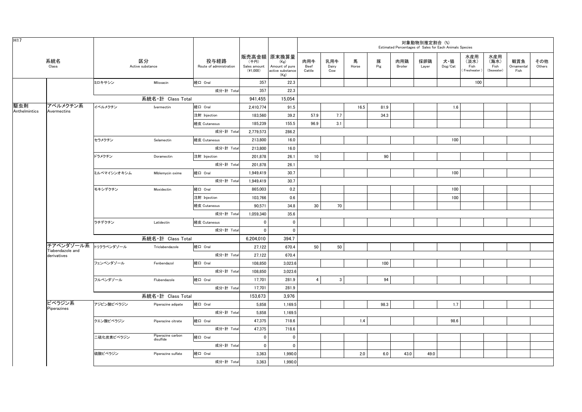| H <sub>17</sub>      |                               |             |                                |                                 |                                    |                                                                   |                       |                     |            |          | Estimated Percentages of Sales for Each Animals Species | 対象動物別推定割合(%) |                                    |                                     |                                   |                           |               |
|----------------------|-------------------------------|-------------|--------------------------------|---------------------------------|------------------------------------|-------------------------------------------------------------------|-----------------------|---------------------|------------|----------|---------------------------------------------------------|--------------|------------------------------------|-------------------------------------|-----------------------------------|---------------------------|---------------|
|                      | 系統名<br>$\textsf{Class}$       |             | 区分<br>Active substance         | 投与経路<br>Route of administration | (千円)<br>Sales amount<br>$(*1,000)$ | 販売高金額 原末換算量<br>(Kg)<br>Amount of pure<br>active substance<br>(Kg) | 肉用牛<br>Beef<br>Cattle | 乳用牛<br>Dairy<br>Cow | 馬<br>Horse | 豚<br>Pig | 肉用鶏<br>Broiler                                          | 採卵鶏<br>Layer | 犬・猫<br>$\mathsf{Dog}/\mathsf{Cat}$ | 水産用<br>(淡水)<br>Fish<br>(Freshwater) | 水産用<br>(海水)<br>Fish<br>(Seawater) | 観賞魚<br>Ornamental<br>Fish | その他<br>Others |
|                      |                               | ミロキサシン      | Miloxacin                      | 経口 Oral                         | 357                                | 22.3                                                              |                       |                     |            |          |                                                         |              |                                    | 100                                 |                                   |                           |               |
|                      |                               |             |                                | 成分·計 Total                      | 357                                | 22.3                                                              |                       |                     |            |          |                                                         |              |                                    |                                     |                                   |                           |               |
|                      |                               |             | 系統名·計 Class Total              |                                 | 941,455                            | 15,054                                                            |                       |                     |            |          |                                                         |              |                                    |                                     |                                   |                           |               |
| 駆虫剤<br>Anthelmintics | アベルメクチン系<br>Avermectins       | イベルメクチン     | Ivermectin                     | 経口 Oral                         | 2,410,774                          | 91.5                                                              |                       |                     | 16.5       | 81.9     |                                                         |              | 1.6                                |                                     |                                   |                           |               |
|                      |                               |             |                                | 注射 Injection                    | 183,560                            | 39.2                                                              | 57.9                  | 7.7                 |            | 34.3     |                                                         |              |                                    |                                     |                                   |                           |               |
|                      |                               |             |                                | 経皮 Cutaneous                    | 185,239                            | 155.5                                                             | 96.9                  | 3.1                 |            |          |                                                         |              |                                    |                                     |                                   |                           |               |
|                      |                               |             |                                | 成分·計 Total                      | 2,779,573                          | 286.2                                                             |                       |                     |            |          |                                                         |              |                                    |                                     |                                   |                           |               |
|                      |                               | セラメクチン      | Selamectin                     | 経皮 Cutaneous                    | 213,800                            | 16.0                                                              |                       |                     |            |          |                                                         |              | 100                                |                                     |                                   |                           |               |
|                      |                               |             |                                | 成分·計 Total                      | 213,800                            | 16.0                                                              |                       |                     |            |          |                                                         |              |                                    |                                     |                                   |                           |               |
|                      |                               | ドラメクチン      | Doramectin                     | 注射 Injection                    | 201,878                            | 26.1                                                              | 10                    |                     |            | 90       |                                                         |              |                                    |                                     |                                   |                           |               |
|                      |                               |             |                                | 成分·計 Total                      | 201,878                            | 26.1                                                              |                       |                     |            |          |                                                         |              |                                    |                                     |                                   |                           |               |
|                      |                               | ミルベマイシンオキシム | Miblemycin oxime               | 経口 Oral                         | 1,949,419                          | 30.7                                                              |                       |                     |            |          |                                                         |              | 100                                |                                     |                                   |                           |               |
|                      |                               |             |                                | 成分·計 Total                      | 1,949,419                          | 30.7                                                              |                       |                     |            |          |                                                         |              |                                    |                                     |                                   |                           |               |
|                      |                               | モキシデクチン     | Moxidectin                     | 経口 Oral                         | 865,003                            | 0.2                                                               |                       |                     |            |          |                                                         |              | 100                                |                                     |                                   |                           |               |
|                      |                               |             |                                | 注射 Injection                    | 103,766                            | 0.6                                                               |                       |                     |            |          |                                                         |              | 100                                |                                     |                                   |                           |               |
|                      |                               |             |                                | 経皮 Cutaneous                    | 90.571                             | 34.8                                                              | 30                    | 70                  |            |          |                                                         |              |                                    |                                     |                                   |                           |               |
|                      |                               |             |                                | 成分·計 Total                      | 1,059,340                          | 35.6                                                              |                       |                     |            |          |                                                         |              |                                    |                                     |                                   |                           |               |
|                      |                               | ラチデクチン      | Latidectin                     | 経皮 Cutaneous                    | $^{\circ}$                         | $\mathbf 0$                                                       |                       |                     |            |          |                                                         |              |                                    |                                     |                                   |                           |               |
|                      |                               |             |                                | 成分·計 Tota                       | $\Omega$                           | $^{\circ}$                                                        |                       |                     |            |          |                                                         |              |                                    |                                     |                                   |                           |               |
|                      |                               |             | 系統名·計 Class Total              |                                 | 6,204,010                          | 394.7                                                             |                       |                     |            |          |                                                         |              |                                    |                                     |                                   |                           |               |
|                      | チアベンダゾール系<br>Tiabendazole and | トリクラベンダゾール  | Triclabendazole                | 経口 Oral                         | 27,122                             | 670.4                                                             | 50                    | 50                  |            |          |                                                         |              |                                    |                                     |                                   |                           |               |
|                      | derivatives                   |             |                                | 成分·計 Total                      | 27,122                             | 670.4                                                             |                       |                     |            |          |                                                         |              |                                    |                                     |                                   |                           |               |
|                      |                               | フェンベンダゾール   | Fenbendazol                    | 経口 Oral                         | 108,850                            | 3,023.6                                                           |                       |                     |            | 100      |                                                         |              |                                    |                                     |                                   |                           |               |
|                      |                               |             |                                | 成分·計 Total                      | 108,850                            | 3,023.6                                                           |                       |                     |            |          |                                                         |              |                                    |                                     |                                   |                           |               |
|                      |                               | フルベンダゾール    | Flubendazole                   | 経口 Oral                         | 17,701                             | 281.9                                                             | $\overline{4}$        | 3                   |            | 94       |                                                         |              |                                    |                                     |                                   |                           |               |
|                      |                               |             |                                | 成分·計 Tota                       | 17,701                             | 281.9                                                             |                       |                     |            |          |                                                         |              |                                    |                                     |                                   |                           |               |
|                      |                               |             | 系統名·計 Class Total              |                                 | 153,673                            | 3,976                                                             |                       |                     |            |          |                                                         |              |                                    |                                     |                                   |                           |               |
|                      | ピペラジン系                        | アジピン酸ピペラジン  | Piperazine adipate             | 経口 Oral                         | 5,858                              | 1,169.5                                                           |                       |                     |            | 98.3     |                                                         |              | 1.7                                |                                     |                                   |                           |               |
|                      | Piperazines                   |             |                                | 成分·計 Total                      | 5,858                              | 1,169.5                                                           |                       |                     |            |          |                                                         |              |                                    |                                     |                                   |                           |               |
|                      |                               | クエン酸ピペラジン   | Piperazine citrate             | 経口 Oral                         | 47,375                             | 718.6                                                             |                       |                     | 1.4        |          |                                                         |              | 98.6                               |                                     |                                   |                           |               |
|                      |                               |             |                                | 成分·計 Total                      | 47,375                             | 718.6                                                             |                       |                     |            |          |                                                         |              |                                    |                                     |                                   |                           |               |
|                      |                               | 二硫化炭素ピペラジン  | Piperazine carbon<br>disulfide | 経口 Oral                         | $\mathbf 0$                        | $\mathbf 0$                                                       |                       |                     |            |          |                                                         |              |                                    |                                     |                                   |                           |               |
|                      |                               |             |                                | 成分·計 Total                      | $\mathbf 0$                        | $\mathbf 0$                                                       |                       |                     |            |          |                                                         |              |                                    |                                     |                                   |                           |               |
|                      |                               | 硫酸ピペラジン     | Piperazine sulfate             | 経口 Oral                         | 3,363                              | 1,990.0                                                           |                       |                     | 2.0        | 6.0      | 43.0                                                    | 49.0         |                                    |                                     |                                   |                           |               |
|                      |                               |             |                                | 成分·計 Total                      | 3,363                              | 1,990.0                                                           |                       |                     |            |          |                                                         |              |                                    |                                     |                                   |                           |               |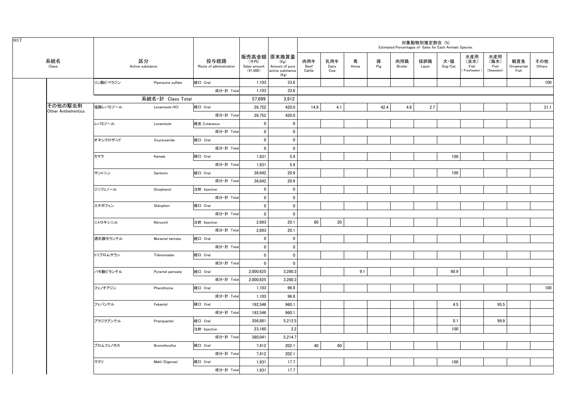| H17 |                                       |          |                        |                                 |                                    |                                                                   |                       |                     |            |          |                | 対象動物別推定割合 (%)<br>Estimated Percentages of Sales for Each Animals Species |                                    |                                    |                                   |                           |               |
|-----|---------------------------------------|----------|------------------------|---------------------------------|------------------------------------|-------------------------------------------------------------------|-----------------------|---------------------|------------|----------|----------------|--------------------------------------------------------------------------|------------------------------------|------------------------------------|-----------------------------------|---------------------------|---------------|
|     | 系統名<br>Class                          |          | 区分<br>Active substance | 投与経路<br>Route of administration | (千円)<br>Sales amount<br>$(*1,000)$ | 販売高金額 原末換算量<br>(Kg)<br>Amount of pure<br>active substance<br>(Kg) | 肉用牛<br>Beef<br>Cattle | 乳用牛<br>Dairy<br>Cow | 馬<br>Horse | 豚<br>Pig | 肉用鶏<br>Broiler | 採卵鶏<br>Layer                                                             | 犬・猫<br>$\mathsf{Dog}/\mathsf{Cat}$ | 水産用<br>(淡水)<br>Fish<br>Freshwater) | 水産用<br>(海水)<br>Fish<br>(Seawater) | 観賞魚<br>Ornamental<br>Fish | その他<br>Others |
|     |                                       | リン酸ピペラジン | Piperazine sulfate     | 経口 Oral                         | 1,103                              | 33.8                                                              |                       |                     |            |          |                |                                                                          |                                    |                                    |                                   |                           | 100           |
|     |                                       |          |                        | 成分·計 Total                      | 1,103                              | 33.8                                                              |                       |                     |            |          |                |                                                                          |                                    |                                    |                                   |                           |               |
|     |                                       |          | 系統名·計 Class Total      |                                 | 57,699                             | 3,912                                                             |                       |                     |            |          |                |                                                                          |                                    |                                    |                                   |                           |               |
|     | その他の駆虫剤<br><b>Other Anthelmintics</b> | 塩酸レバミゾール | Levamisole HCI         | 経口 Oral                         | 26,752                             | 420.0                                                             | 14.9                  | 4.1                 |            | 42.4     | 4.8            | 2.7                                                                      |                                    |                                    |                                   |                           | 31.1          |
|     |                                       |          |                        | 成分·計 Total                      | 26,752                             | 420.0                                                             |                       |                     |            |          |                |                                                                          |                                    |                                    |                                   |                           |               |
|     |                                       | レバミゾール   | Levamisole             | 経皮 Cutaneous                    | $\mathbf 0$                        | $\mathbf 0$                                                       |                       |                     |            |          |                |                                                                          |                                    |                                    |                                   |                           |               |
|     |                                       |          |                        | 成分·計 Total                      | 0                                  | $\mathbf 0$                                                       |                       |                     |            |          |                |                                                                          |                                    |                                    |                                   |                           |               |
|     |                                       | オキシクロザニド | Oxyclozanide           | 経口 Oral                         | $\mathbf 0$                        | $\mathbf 0$                                                       |                       |                     |            |          |                |                                                                          |                                    |                                    |                                   |                           |               |
|     |                                       |          |                        | 成分·計 Total                      | $\mathbf 0$                        | $\mathbf 0$                                                       |                       |                     |            |          |                |                                                                          |                                    |                                    |                                   |                           |               |
|     |                                       | カマラ      | Kamala                 | 経口 Oral                         | 1,931                              | 5.9                                                               |                       |                     |            |          |                |                                                                          | 100                                |                                    |                                   |                           |               |
|     |                                       |          |                        | 成分·計 Total                      | 1,931                              | 5.9                                                               |                       |                     |            |          |                |                                                                          |                                    |                                    |                                   |                           |               |
|     |                                       | サントニン    | Santonin               | 経口 Oral                         | 36,642                             | 20.9                                                              |                       |                     |            |          |                |                                                                          | 100                                |                                    |                                   |                           |               |
|     |                                       |          |                        | 成分·計 Total                      | 36,642                             | 20.9                                                              |                       |                     |            |          |                |                                                                          |                                    |                                    |                                   |                           |               |
|     |                                       | ジソフェノール  | Disophenol             | 注射 Injection                    | $\mathbf 0$                        | $\mathbf 0$                                                       |                       |                     |            |          |                |                                                                          |                                    |                                    |                                   |                           |               |
|     |                                       |          |                        | 成分·計 Total                      | $\mathbf 0$                        | $\mathbf 0$                                                       |                       |                     |            |          |                |                                                                          |                                    |                                    |                                   |                           |               |
|     |                                       | スチボフェン   | Stibophen              | 経口 Oral                         | $\mathbf 0$                        | $\mathbf 0$                                                       |                       |                     |            |          |                |                                                                          |                                    |                                    |                                   |                           |               |
|     |                                       |          |                        | 成分·計 Total                      | $\mathbf 0$                        | $\mathbf 0$                                                       |                       |                     |            |          |                |                                                                          |                                    |                                    |                                   |                           |               |
|     |                                       | ニトロキシニル  | Nitroxinil             | 注射 Injection                    | 2,693                              | 20.1                                                              | 80                    | 20                  |            |          |                |                                                                          |                                    |                                    |                                   |                           |               |
|     |                                       |          |                        | 成分·計 Total                      | 2,693                              | 20.1                                                              |                       |                     |            |          |                |                                                                          |                                    |                                    |                                   |                           |               |
|     |                                       | 酒石酸モランテル | Morantel tartrate      | 経口 Oral                         | $\mathbf 0$                        | $\mathbf 0$                                                       |                       |                     |            |          |                |                                                                          |                                    |                                    |                                   |                           |               |
|     |                                       |          |                        | 成分·計 Total                      | $\mathbf 0$                        | $\mathbf 0$                                                       |                       |                     |            |          |                |                                                                          |                                    |                                    |                                   |                           |               |
|     |                                       | トリブロムサラン | Tribromsalan           | 経口 Oral                         | $\mathbf{0}$                       | $\mathbf{0}$                                                      |                       |                     |            |          |                |                                                                          |                                    |                                    |                                   |                           |               |
|     |                                       |          |                        | 成分·計 Total                      | $\mathbf 0$                        | $\mathbf 0$                                                       |                       |                     |            |          |                |                                                                          |                                    |                                    |                                   |                           |               |
|     |                                       | パモ酸ピランテル | Pyrantel pamoate       | 経口 Oral                         | 2,000,625                          | 3,280.3                                                           |                       |                     | 9.1        |          |                |                                                                          | 90.9                               |                                    |                                   |                           |               |
|     |                                       |          |                        | 成分·計 Total                      | 2,000,625                          | 3,280.3                                                           |                       |                     |            |          |                |                                                                          |                                    |                                    |                                   |                           |               |
|     |                                       | フェノチアジン  | Phenithizine           | 経口 Oral                         | 1,103                              | 96.8                                                              |                       |                     |            |          |                |                                                                          |                                    |                                    |                                   |                           | 100           |
|     |                                       |          |                        | 成分·計 Total                      | 1,103                              | 96.8                                                              |                       |                     |            |          |                |                                                                          |                                    |                                    |                                   |                           |               |
|     |                                       | フェバンテル   | Febantel               | 経口 Oral                         | 192,546                            | 960.1                                                             |                       |                     |            |          |                |                                                                          | 4.5                                |                                    | 95.5                              |                           |               |
|     |                                       |          |                        | 成分·計 Total                      | 192,546                            | 960.1                                                             |                       |                     |            |          |                |                                                                          |                                    |                                    |                                   |                           |               |
|     |                                       | プラジクアンテル | Praziquantel           | 経口 Oral                         | 356,881                            | 5,212.5                                                           |                       |                     |            |          |                |                                                                          | 0.1                                |                                    | 99.9                              |                           |               |
|     |                                       |          |                        | 注射 Injection                    | 23,160                             | 2.2                                                               |                       |                     |            |          |                |                                                                          | 100                                |                                    |                                   |                           |               |
|     |                                       |          |                        | 成分·計 Total                      | 380,041                            | 5,214.7                                                           |                       |                     |            |          |                |                                                                          |                                    |                                    |                                   |                           |               |
|     |                                       | ブロムフェノホス | Bromofenofos           | 経口 Oral                         | 7,412                              | 202.1                                                             | 40                    | 60                  |            |          |                |                                                                          |                                    |                                    |                                   |                           |               |
|     |                                       |          |                        | 成分·計 Total                      | 7,412                              | 202.1                                                             |                       |                     |            |          |                |                                                                          |                                    |                                    |                                   |                           |               |
|     |                                       | マクリ      | Makli (Digenea)        | 経口 Oral                         | 1,931                              | 17.7                                                              |                       |                     |            |          |                |                                                                          | 100                                |                                    |                                   |                           |               |
|     |                                       |          |                        | 成分·計 Total                      | 1,931                              | 17.7                                                              |                       |                     |            |          |                |                                                                          |                                    |                                    |                                   |                           |               |
|     |                                       |          |                        |                                 |                                    |                                                                   |                       |                     |            |          |                |                                                                          |                                    |                                    |                                   |                           |               |